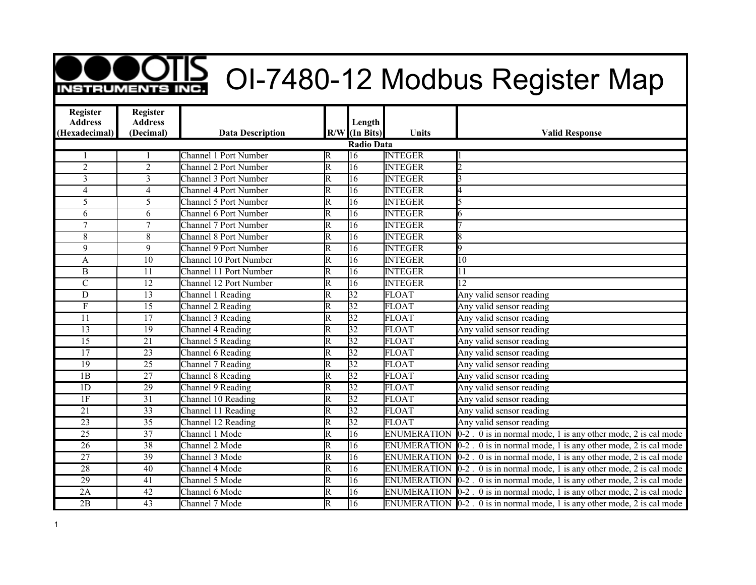## **OOTIS** OI-7480-12 Modbus Register Map

| <b>Register</b><br><b>Address</b> | Register<br><b>Address</b> |                              |                         | Length            |                    |                                                                                          |
|-----------------------------------|----------------------------|------------------------------|-------------------------|-------------------|--------------------|------------------------------------------------------------------------------------------|
| (Hexadecimal)                     | (Decimal)                  | <b>Data Description</b>      |                         | $R/W$ (In Bits)   | <b>Units</b>       | <b>Valid Response</b>                                                                    |
|                                   |                            |                              |                         | <b>Radio Data</b> |                    |                                                                                          |
|                                   |                            | Channel 1 Port Number        | R                       | 16                | <b>INTEGER</b>     |                                                                                          |
| $\overline{2}$                    | $\overline{2}$             | <b>Channel 2 Port Number</b> | $\overline{\mathrm{R}}$ | 16                | <b>INTEGER</b>     | $\mathcal{D}$                                                                            |
| 3                                 | $\overline{3}$             | <b>Channel 3 Port Number</b> | $\overline{\mathrm{R}}$ | $\overline{16}$   | <b>INTEGER</b>     |                                                                                          |
| $\overline{4}$                    | $\overline{4}$             | Channel 4 Port Number        | $\overline{\text{R}}$   | 16                | <b>INTEGER</b>     |                                                                                          |
| 5                                 | 5                          | <b>Channel 5 Port Number</b> | $\overline{\mathrm{R}}$ | 16                | <b>INTEGER</b>     |                                                                                          |
| 6                                 | 6                          | <b>Channel 6 Port Number</b> | $\overline{\mathtt{R}}$ | $\overline{16}$   | <b>INTEGER</b>     | 6                                                                                        |
| $\overline{7}$                    | $\overline{7}$             | <b>Channel 7 Port Number</b> | $\overline{\mathtt{R}}$ | 16                | <b>INTEGER</b>     |                                                                                          |
| 8                                 | 8                          | <b>Channel 8 Port Number</b> | $\overline{\mathrm{R}}$ | $\overline{16}$   | <b>INTEGER</b>     | 8                                                                                        |
| 9                                 | 9                          | Channel 9 Port Number        | $\overline{\mathrm{R}}$ | 16                | <b>INTEGER</b>     | 9                                                                                        |
| A                                 | 10                         | Channel 10 Port Number       | $\overline{\mathtt{R}}$ | 16                | <b>INTEGER</b>     | 10                                                                                       |
| $\, {\bf B}$                      | 11                         | Channel 11 Port Number       | $\overline{\mathrm{R}}$ | $\overline{16}$   | <b>INTEGER</b>     | 11                                                                                       |
| $\overline{C}$                    | $\overline{12}$            | Channel 12 Port Number       | $\overline{\mathsf{R}}$ | $\overline{16}$   | <b>INTEGER</b>     | $\overline{12}$                                                                          |
| $\overline{D}$                    | $\overline{13}$            | Channel 1 Reading            | $\overline{\mathrm{R}}$ | $\overline{32}$   | <b>FLOAT</b>       | Any valid sensor reading                                                                 |
| $\mathbf{F}$                      | $\overline{15}$            | Channel 2 Reading            | $\overline{\mathrm{R}}$ | $\overline{32}$   | <b>FLOAT</b>       | Any valid sensor reading                                                                 |
| $\overline{11}$                   | $\overline{17}$            | Channel 3 Reading            | $\overline{\mathrm{R}}$ | $\overline{32}$   | <b>FLOAT</b>       | Any valid sensor reading                                                                 |
| $\overline{13}$                   | 19                         | Channel 4 Reading            | $\overline{\mathrm{R}}$ | 32                | <b>FLOAT</b>       | Any valid sensor reading                                                                 |
| $\overline{15}$                   | $\overline{21}$            | Channel 5 Reading            | $\overline{\mathrm{R}}$ | $\overline{32}$   | <b>FLOAT</b>       | Any valid sensor reading                                                                 |
| $\overline{17}$                   | $\overline{23}$            | Channel 6 Reading            | $\overline{\mathsf{R}}$ | $\overline{32}$   | <b>FLOAT</b>       | Any valid sensor reading                                                                 |
| 19                                | 25                         | Channel 7 Reading            | $\overline{\mathrm{R}}$ | $\overline{32}$   | <b>FLOAT</b>       | Any valid sensor reading                                                                 |
| 1B                                | $\overline{27}$            | Channel 8 Reading            | $\overline{\mathrm{R}}$ | $\overline{32}$   | <b>FLOAT</b>       | Any valid sensor reading                                                                 |
| 1D                                | $\overline{29}$            | Channel 9 Reading            | $\overline{\mathrm{R}}$ | $\overline{32}$   | <b>FLOAT</b>       | Any valid sensor reading                                                                 |
| 1F                                | 31                         | Channel 10 Reading           | $\overline{R}$          | $ 32\rangle$      | <b>FLOAT</b>       | Any valid sensor reading                                                                 |
| $\overline{21}$                   | $\overline{33}$            | Channel 11 Reading           | $\overline{\mathsf{R}}$ | $\overline{32}$   | <b>FLOAT</b>       | Any valid sensor reading                                                                 |
| $\overline{23}$                   | $\overline{35}$            | Channel 12 Reading           | $\overline{\mathrm{R}}$ | $\overline{32}$   | <b>FLOAT</b>       | Any valid sensor reading                                                                 |
| $\overline{25}$                   | $\overline{37}$            | Channel 1 Mode               | $\overline{\mathrm{R}}$ | $\overline{16}$   |                    | ENUMERATION $[0-2]$ . 0 is in normal mode, 1 is any other mode, 2 is cal mode            |
| $\overline{26}$                   | 38                         | Channel 2 Mode               | $\overline{\mathrm{R}}$ | 16                |                    | ENUMERATION $\vert 0\text{-}2$ . 0 is in normal mode, 1 is any other mode, 2 is cal mode |
| $\overline{27}$                   | 39                         | Channel 3 Mode               | $\overline{\mathsf{R}}$ | 16                | <b>ENUMERATION</b> | $0-2$ . 0 is in normal mode, 1 is any other mode, 2 is cal mode                          |
| $\overline{28}$                   | 40                         | Channel 4 Mode               | $\overline{\mathrm{R}}$ | 16                | <b>ENUMERATION</b> | $0-2$ . 0 is in normal mode, 1 is any other mode, 2 is cal mode                          |
| $\overline{29}$                   | 41                         | Channel 5 Mode               | $\overline{\mathtt{R}}$ | $\overline{16}$   | <b>ENUMERATION</b> | $0-2$ . 0 is in normal mode, 1 is any other mode, 2 is cal mode                          |
| 2A                                | 42                         | Channel 6 Mode               | $\overline{\mathsf{R}}$ | 16                |                    | ENUMERATION $[0-2]$ . 0 is in normal mode, 1 is any other mode, 2 is cal mode            |
| $\overline{2B}$                   | $\overline{43}$            | Channel 7 Mode               | $\overline{\mathrm{R}}$ | $\overline{16}$   |                    | ENUMERATION $[0-2]$ . 0 is in normal mode, 1 is any other mode, 2 is cal mode            |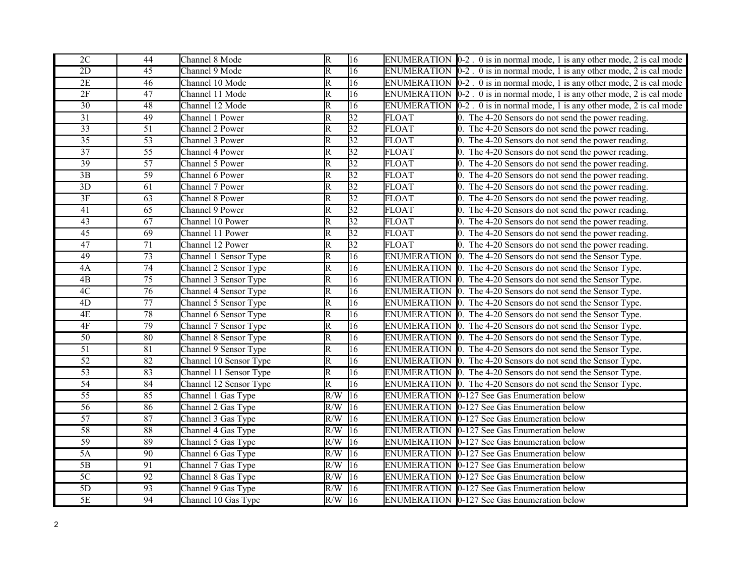| $2\mathrm{C}$   | 44              | Channel 8 Mode         | R                       | 16              |              | ENUMERATION $\vert 0\text{-}2$ . 0 is in normal mode, 1 is any other mode, 2 is cal mode |
|-----------------|-----------------|------------------------|-------------------------|-----------------|--------------|------------------------------------------------------------------------------------------|
| $\overline{2D}$ | $\overline{45}$ | Channel 9 Mode         | $\overline{\mathsf{R}}$ | $\overline{16}$ |              | ENUMERATION $\vert 0\text{-}2$ . 0 is in normal mode, 1 is any other mode, 2 is cal mode |
| 2E              | 46              | Channel 10 Mode        | $\overline{\mathsf{R}}$ | 16              |              | ENUMERATION $[0-2]$ . 0 is in normal mode, 1 is any other mode, 2 is cal mode            |
| 2F              | $\overline{47}$ | Channel 11 Mode        | $\overline{R}$          | $\overline{16}$ |              | ENUMERATION $\vert 0\text{-}2$ . 0 is in normal mode, 1 is any other mode, 2 is cal mode |
| $\overline{30}$ | $\overline{48}$ | Channel 12 Mode        | $\overline{\mathsf{R}}$ | $\overline{16}$ |              | ENUMERATION $[0-2]$ . 0 is in normal mode, 1 is any other mode, 2 is cal mode            |
| $\overline{31}$ | 49              | Channel 1 Power        | R                       | 32              | <b>FLOAT</b> | 0. The 4-20 Sensors do not send the power reading.                                       |
| $\overline{33}$ | $\overline{51}$ | Channel 2 Power        | $\overline{\mathsf{R}}$ | $\overline{32}$ | <b>FLOAT</b> | 0. The 4-20 Sensors do not send the power reading.                                       |
| $\overline{35}$ | $\overline{53}$ | Channel 3 Power        | $\overline{\mathbb{R}}$ | 32              | <b>FLOAT</b> | 0. The 4-20 Sensors do not send the power reading.                                       |
| $\overline{37}$ | 55              | Channel 4 Power        | R                       | 32              | <b>FLOAT</b> | 0. The 4-20 Sensors do not send the power reading.                                       |
| 39              | $\overline{57}$ | Channel 5 Power        | $\overline{\mathsf{R}}$ | $\overline{32}$ | <b>FLOAT</b> | 0. The 4-20 Sensors do not send the power reading.                                       |
| 3B              | 59              | Channel 6 Power        | $\overline{\mathbb{R}}$ | 32              | <b>FLOAT</b> | 0. The 4-20 Sensors do not send the power reading.                                       |
| $\overline{3D}$ | 61              | Channel 7 Power        | R                       | 32              | <b>FLOAT</b> | 0. The 4-20 Sensors do not send the power reading.                                       |
| 3F              | 63              | Channel 8 Power        | $\overline{\mathsf{R}}$ | 32              | <b>FLOAT</b> | 0. The 4-20 Sensors do not send the power reading.                                       |
| 41              | $\overline{65}$ | Channel 9 Power        | $\overline{\mathbb{R}}$ | $\overline{32}$ | <b>FLOAT</b> | 0. The 4-20 Sensors do not send the power reading.                                       |
| 43              | 67              | Channel 10 Power       | $\overline{R}$          | 32              | <b>FLOAT</b> | 0. The 4-20 Sensors do not send the power reading.                                       |
| $\overline{45}$ | 69              | Channel 11 Power       | $\overline{\mathsf{R}}$ | $\overline{32}$ | <b>FLOAT</b> | 0. The 4-20 Sensors do not send the power reading.                                       |
| 47              | $\overline{71}$ | Channel 12 Power       | $\overline{\mathbb{R}}$ | $\overline{32}$ | <b>FLOAT</b> | 0. The 4-20 Sensors do not send the power reading.                                       |
| 49              | $\overline{73}$ | Channel 1 Sensor Type  | R                       | $\overline{16}$ |              | ENUMERATION $\vert$ 0. The 4-20 Sensors do not send the Sensor Type.                     |
| 4A              | $\overline{74}$ | Channel 2 Sensor Type  | $\overline{\mathbb{R}}$ | $\overline{16}$ |              | ENUMERATION $\vert$ 0. The 4-20 Sensors do not send the Sensor Type.                     |
| $\overline{AB}$ | 75              | Channel 3 Sensor Type  | $\overline{\mathbb{R}}$ | $\overline{16}$ |              | ENUMERATION $\vert$ 0. The 4-20 Sensors do not send the Sensor Type.                     |
| 4C              | 76              | Channel 4 Sensor Type  | $\overline{\mathbb{R}}$ | 16              |              | ENUMERATION 0. The 4-20 Sensors do not send the Sensor Type.                             |
| $\overline{4D}$ | 77              | Channel 5 Sensor Type  | $\overline{\mathsf{R}}$ | $\overline{16}$ |              | ENUMERATION 0. The 4-20 Sensors do not send the Sensor Type.                             |
| 4E              | 78              | Channel 6 Sensor Type  | R                       | 16              |              | ENUMERATION $\vert$ 0. The 4-20 Sensors do not send the Sensor Type.                     |
| $4F$            | 79              | Channel 7 Sensor Type  | $\overline{\mathbb{R}}$ | $\overline{16}$ |              | ENUMERATION $\vert$ 0. The 4-20 Sensors do not send the Sensor Type.                     |
| $\overline{50}$ | 80              | Channel 8 Sensor Type  | $\overline{\mathsf{R}}$ | $\overline{16}$ |              | ENUMERATION $\vert$ 0. The 4-20 Sensors do not send the Sensor Type.                     |
| $\overline{51}$ | $\overline{81}$ | Channel 9 Sensor Type  | $\overline{R}$          | $\overline{16}$ |              | ENUMERATION $\vert$ 0. The 4-20 Sensors do not send the Sensor Type.                     |
| $\overline{52}$ | 82              | Channel 10 Sensor Type | $\overline{\mathsf{R}}$ | $\overline{16}$ |              | ENUMERATION 0. The 4-20 Sensors do not send the Sensor Type.                             |
| $\overline{53}$ | 83              | Channel 11 Sensor Type | $\overline{\mathsf{R}}$ | $\overline{16}$ |              | ENUMERATION 0. The 4-20 Sensors do not send the Sensor Type.                             |
| 54              | 84              | Channel 12 Sensor Type | $\overline{R}$          | $\overline{16}$ |              | ENUMERATION 0. The 4-20 Sensors do not send the Sensor Type.                             |
| $\overline{55}$ | 85              | Channel 1 Gas Type     | R/W                     | $\overline{16}$ |              | ENUMERATION 0-127 See Gas Enumeration below                                              |
| $\overline{56}$ | 86              | Channel 2 Gas Type     | R/W                     | 16              |              | ENUMERATION 0-127 See Gas Enumeration below                                              |
| 57              | $\overline{87}$ | Channel 3 Gas Type     | R/W                     | $\overline{16}$ |              | ENUMERATION 0-127 See Gas Enumeration below                                              |
| $\overline{58}$ | 88              | Channel 4 Gas Type     | R/W                     | 16              |              | ENUMERATION 0-127 See Gas Enumeration below                                              |
| 59              | 89              | Channel 5 Gas Type     | R/W                     | 16              |              | ENUMERATION 0-127 See Gas Enumeration below                                              |
| 5A              | 90              | Channel 6 Gas Type     | R/W                     | 16              |              | ENUMERATION 0-127 See Gas Enumeration below                                              |
| $\overline{5B}$ | 91              | Channel 7 Gas Type     | R/W                     | $ 16\rangle$    |              | ENUMERATION 0-127 See Gas Enumeration below                                              |
| 5C              | $\overline{92}$ | Channel 8 Gas Type     | R/W                     | $\overline{16}$ |              | ENUMERATION 0-127 See Gas Enumeration below                                              |
| 5D              | 93              | Channel 9 Gas Type     | R/W                     | 16              |              | ENUMERATION 0-127 See Gas Enumeration below                                              |
| $\overline{5E}$ | 94              | Channel 10 Gas Type    | $R/W$ 16                |                 |              | <b>ENUMERATION</b> 0-127 See Gas Enumeration below                                       |
|                 |                 |                        |                         |                 |              |                                                                                          |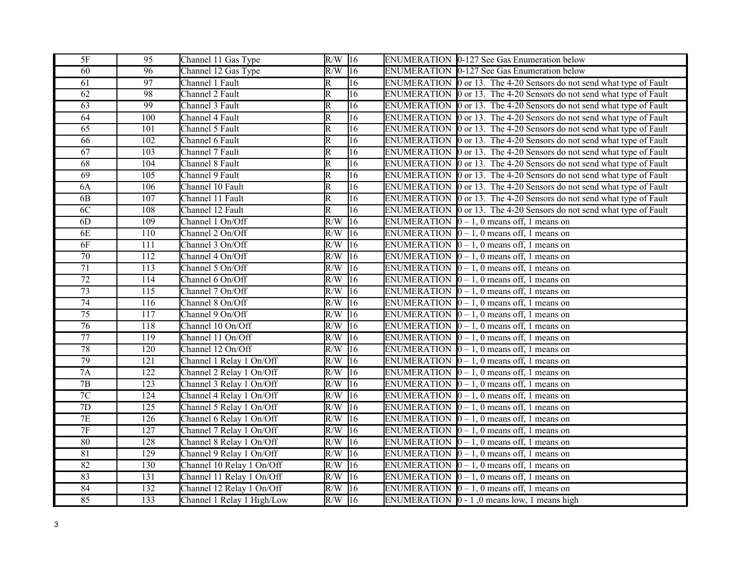| 5F                  | 95               | Channel 11 Gas Type        | R/W                     | $ 16\rangle$    | ENUMERATION 0-127 See Gas Enumeration below                                             |
|---------------------|------------------|----------------------------|-------------------------|-----------------|-----------------------------------------------------------------------------------------|
| $\overline{60}$     | $\overline{96}$  | Channel 12 Gas Type        | R/W                     | $\overline{16}$ | <b>ENUMERATION</b> 0-127 See Gas Enumeration below                                      |
| 61                  | 97               | Channel 1 Fault            | R                       | $ 16\rangle$    | ENUMERATION 0 or 13. The 4-20 Sensors do not send what type of Fault                    |
| 62                  | 98               | Channel 2 Fault            | $\overline{\mathrm{R}}$ | $\overline{16}$ | ENUMERATION 0 or 13. The 4-20 Sensors do not send what type of Fault                    |
| $\overline{63}$     | 99               | Channel 3 Fault            | $\overline{\mathrm{R}}$ | $\overline{16}$ | ENUMERATION 0 or 13. The 4-20 Sensors do not send what type of Fault                    |
| $\overline{64}$     | 100              | Channel 4 Fault            | $\overline{\mathsf{R}}$ | $\overline{16}$ | ENUMERATION $\vert$ 0 or 13. The 4-20 Sensors do not send what type of Fault            |
| 65                  | 101              | Channel 5 Fault            | $\overline{\mathrm{R}}$ | $\overline{16}$ | ENUMERATION 0 or 13. The 4-20 Sensors do not send what type of Fault                    |
| $\overline{66}$     | 102              | Channel 6 Fault            | $\overline{\mathrm{R}}$ | $\overline{16}$ | ENUMERATION 0 or 13. The 4-20 Sensors do not send what type of Fault                    |
| $\overline{67}$     | 103              | Channel 7 Fault            | $\overline{\mathrm{R}}$ | $\overline{16}$ | ENUMERATION $\boxed{0 \text{ or } 13.}$ The 4-20 Sensors do not send what type of Fault |
| $\overline{68}$     | 104              | Channel 8 Fault            | $\overline{\mathsf{R}}$ | 16              | ENUMERATION 0 or 13. The 4-20 Sensors do not send what type of Fault                    |
| 69                  | $\overline{105}$ | Channel 9 Fault            | $\overline{\mathsf{R}}$ | $\overline{16}$ | ENUMERATION 0 or 13. The 4-20 Sensors do not send what type of Fault                    |
| 6A                  | 106              | Channel 10 Fault           | $\overline{\mathrm{R}}$ | 16              | ENUMERATION 0 or 13. The 4-20 Sensors do not send what type of Fault                    |
| 6B                  | 107              | Channel 11 Fault           | $\overline{\mathrm{R}}$ | $\overline{16}$ | ENUMERATION 0 or 13. The 4-20 Sensors do not send what type of Fault                    |
| 6C                  | 108              | Channel 12 Fault           | $\overline{\mathrm{R}}$ | $\overline{16}$ | ENUMERATION 0 or 13. The 4-20 Sensors do not send what type of Fault                    |
| 6D                  | 109              | Channel 1 On/Off           | R/W                     | $ 16\rangle$    | ENUMERATION $\vert 0-1, 0 \vert$ means off, 1 means on                                  |
| 6E                  | 110              | Channel 2 On/Off           | R/W                     | $\overline{16}$ | ENUMERATION $[0 - 1, 0$ means off, 1 means on                                           |
| 6F                  | $\overline{111}$ | Channel 3 On/Off           | R/W                     | $\overline{16}$ | ENUMERATION $[0 - 1, 0$ means off, 1 means on                                           |
| 70                  | $\overline{112}$ | Channel 4 On/Off           | R/W                     | $\overline{16}$ | ENUMERATION $[0 - 1, 0$ means off, 1 means on                                           |
| $\overline{71}$     | 113              | Channel 5 On/Off           | R/W                     | $ 16\rangle$    | ENUMERATION $[0 - 1, 0$ means off, 1 means on                                           |
| $\overline{72}$     | 114              | Channel 6 On/Off           | R/W                     | $\overline{16}$ | ENUMERATION $[0 - 1, 0$ means off, 1 means on                                           |
| $\overline{73}$     | $\overline{115}$ | Channel 7 On/Off           | R/W                     | $\overline{16}$ | ENUMERATION $\vert 0-1, 0 \vert$ means off, 1 means on                                  |
| $\overline{74}$     | 116              | Channel 8 On/Off           | R/W                     | $\overline{16}$ | ENUMERATION $\vert 0-1, 0 \vert$ means off, 1 means on                                  |
| $\overline{75}$     | $\overline{117}$ | Channel 9 On/Off           | R/W                     | $\overline{16}$ | ENUMERATION $\vert 0-1, 0 \vert$ means off, 1 means on                                  |
| 76                  | 118              | Channel 10 On/Off          | R/W                     | 16              | ENUMERATION $\boxed{0} - 1$ , 0 means off, 1 means on                                   |
| $\overline{77}$     | 119              | Channel 11 On/Off          | $\overline{R/W}$        | $\overline{16}$ | ENUMERATION $\vert 0-1, 0 \vert$ means off, 1 means on                                  |
| 78                  | 120              | Channel 12 On/Off          | R/W                     | $\overline{16}$ | ENUMERATION $[0 - 1, 0$ means off, 1 means on                                           |
| 79                  | 121              | Channel 1 Relay 1 On/Off   | R/W                     | $\overline{16}$ | ENUMERATION $[0 - 1, 0$ means off, 1 means on                                           |
| 7A                  | 122              | Channel 2 Relay 1 On/Off   | R/W                     | $\overline{16}$ | ENUMERATION $[0 - 1, 0$ means off, 1 means on                                           |
| 7B                  | 123              | Channel 3 Relay 1 On/Off   | R/W                     | 16              | ENUMERATION $[0 - 1, 0$ means off, 1 means on                                           |
| $\overline{7C}$     | 124              | Channel 4 Relay 1 On/Off   | R/W                     | $\overline{16}$ | ENUMERATION $[0 - 1, 0$ means off, 1 means on                                           |
| 7D                  | 125              | Channel 5 Relay 1 On/Off   | R/W                     | 16              | ENUMERATION $\vert 0-1, 0 \vert$ means off, 1 means on                                  |
| 7E                  | 126              | Channel 6 Relay 1 On/Off   | R/W                     | 16              | ENUMERATION $\vert 0-1, 0 \vert$ means off, 1 means on                                  |
| $\overline{\rm 7F}$ | $\overline{127}$ | Channel 7 Relay 1 On/Off   | R/W                     | $\overline{16}$ | ENUMERATION $\vert 0-1, 0 \vert$ means off, 1 means on                                  |
| 80                  | 128              | Channel 8 Relay 1 On/Off   | R/W                     | $\overline{16}$ | ENUMERATION $[0 - 1, 0$ means off, 1 means on                                           |
| 81                  | 129              | Channel 9 Relay 1 On/Off   | R/W                     | 16              | ENUMERATION $\boxed{0 - 1}$ , 0 means off, 1 means on                                   |
| 82                  | 130              | Channel 10 Relay 1 On/Off  | R/W                     | $\overline{16}$ | ENUMERATION $\vert 0-1, 0 \vert$ means off, 1 means on                                  |
| 83                  | $\overline{131}$ | Channel 11 Relay 1 On/Off  | R/W                     | $\sqrt{16}$     | ENUMERATION $[0 - 1, 0$ means off, 1 means on                                           |
| 84                  | $\overline{132}$ | Channel 12 Relay 1 On/Off  | R/W                     | 16              | ENUMERATION $\vert 0-1, 0 \vert$ means off, 1 means on                                  |
| 85                  | 133              | Channel 1 Relay 1 High/Low | $R/W$ 16                |                 | ENUMERATION $\vert 0 - 1 \vert$ , 0 means low, 1 means high                             |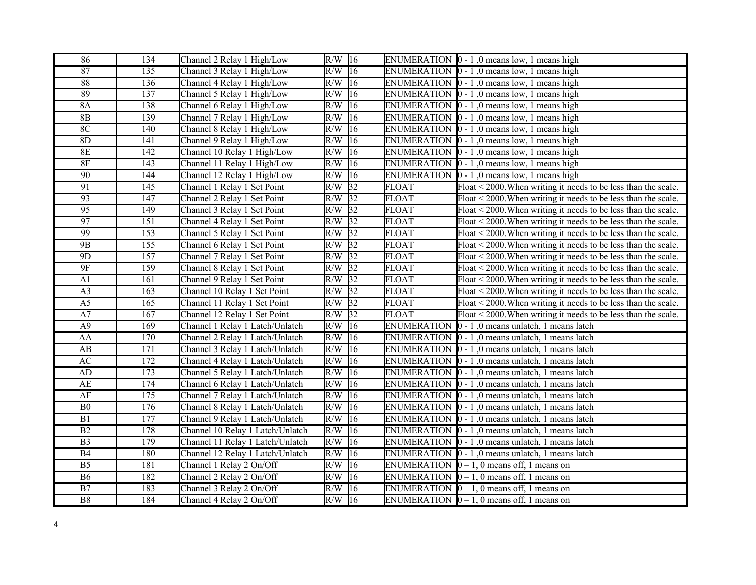| 86                     | 134              | Channel 2 Relay 1 High/Low       | $R/W$ 16 |                 |                    | ENUMERATION $\vert 0 - 1 \vert$ , 0 means low, 1 means high       |
|------------------------|------------------|----------------------------------|----------|-----------------|--------------------|-------------------------------------------------------------------|
| 87                     | 135              | Channel 3 Relay 1 High/Low       | $R/W$ 16 |                 |                    | ENUMERATION $\vert 0 - 1 \vert$ , 0 means low, 1 means high       |
| 88                     | 136              | Channel 4 Relay 1 High/Low       | $R/W$ 16 |                 |                    | ENUMERATION $\vert 0 - 1 \vert$ , 0 means low, 1 means high       |
| 89                     | 137              | Channel 5 Relay 1 High/Low       | $R/W$ 16 |                 |                    | ENUMERATION $\vert 0 - 1 \vert$ , 0 means low, 1 means high       |
| 8A                     | 138              | Channel 6 Relay 1 High/Low       | R/W      | $ 16\rangle$    |                    | ENUMERATION $\vert 0 - 1 \vert$ , 0 means low, 1 means high       |
| 8B                     | 139              | Channel 7 Relay 1 High/Low       | R/W      | 16              |                    | ENUMERATION $\vert 0 - 1 \vert$ , 0 means low, 1 means high       |
| 8C                     | 140              | Channel 8 Relay 1 High/Low       | R/W      | 16              |                    | ENUMERATION $\vert 0 - 1 \vert$ , 0 means low, 1 means high       |
| 8D                     | 141              | Channel 9 Relay 1 High/Low       | R/W      | 16              |                    | ENUMERATION $\vert 0 - 1 \vert$ , 0 means low, 1 means high       |
| 8E                     | 142              | Channel 10 Relay 1 High/Low      | R/W      | 16              |                    | ENUMERATION $\vert 0 - 1 \vert$ , 0 means low, 1 means high       |
| $8\mathrm{F}$          | 143              | Channel 11 Relay 1 High/Low      | R/W      | 16              |                    | ENUMERATION $\vert 0 - 1 \vert$ , 0 means low, 1 means high       |
| $\overline{90}$        | 144              | Channel 12 Relay 1 High/Low      | R/W      | 16              |                    | ENUMERATION $\vert 0 - 1 \vert$ , 0 means low, 1 means high       |
| 91                     | 145              | Channel 1 Relay 1 Set Point      | R/W      | 32              | FLOAT              | $F$ loat < 2000. When writing it needs to be less than the scale. |
| 93                     | 147              | Channel 2 Relay 1 Set Point      | R/W      | $\overline{32}$ | <b>FLOAT</b>       | Float < 2000. When writing it needs to be less than the scale.    |
| $\overline{95}$        | 149              | Channel 3 Relay 1 Set Point      | R/W      | $\overline{32}$ | <b>FLOAT</b>       | Float < 2000. When writing it needs to be less than the scale.    |
| 97                     | 151              | Channel 4 Relay 1 Set Point      | R/W      | $\overline{32}$ | <b>FLOAT</b>       | Float < 2000. When writing it needs to be less than the scale.    |
| 99                     | 153              | Channel 5 Relay 1 Set Point      | $R/W$ 32 |                 | <b>FLOAT</b>       | Float < 2000. When writing it needs to be less than the scale.    |
| 9B                     | $\overline{155}$ | Channel 6 Relay 1 Set Point      | R/W      | $\overline{32}$ | <b>FLOAT</b>       | Float < 2000. When writing it needs to be less than the scale.    |
| 9 <sub>D</sub>         | 157              | Channel 7 Relay 1 Set Point      | R/W      | 32              | <b>FLOAT</b>       | Float < 2000. When writing it needs to be less than the scale.    |
| $9F$                   | 159              | Channel 8 Relay 1 Set Point      | R/W      | 32              | <b>FLOAT</b>       | Float < 2000. When writing it needs to be less than the scale.    |
| A1                     | 161              | Channel 9 Relay 1 Set Point      | R/W      | $\overline{32}$ | <b>FLOAT</b>       | Float < 2000. When writing it needs to be less than the scale.    |
| A <sub>3</sub>         | 163              | Channel 10 Relay 1 Set Point     | R/W      | $\sqrt{32}$     | <b>FLOAT</b>       | Float < 2000. When writing it needs to be less than the scale.    |
| A <sub>5</sub>         | 165              | Channel 11 Relay 1 Set Point     | $R/W$ 32 |                 | <b>FLOAT</b>       | Float < 2000. When writing it needs to be less than the scale.    |
| A7                     | $\overline{167}$ | Channel 12 Relay 1 Set Point     | R/W      | $\overline{32}$ | <b>FLOAT</b>       | Float < 2000. When writing it needs to be less than the scale.    |
| A9                     | 169              | Channel 1 Relay 1 Latch/Unlatch  | R/W      | 16              | <b>ENUMERATION</b> | $0 - 1$ , 0 means unlatch, 1 means latch                          |
| AA                     | 170              | Channel 2 Relay 1 Latch/Unlatch  | R/W      | 16              |                    | ENUMERATION $\vert 0 - 1 \vert$ , 0 means unlatch, 1 means latch  |
| $\mathbf{A}\mathbf{B}$ | 171              | Channel 3 Relay 1 Latch/Unlatch  | R/W      | 16              |                    | ENUMERATION $\vert 0 - 1 \vert$ , 0 means unlatch, 1 means latch  |
| $\overline{AC}$        | 172              | Channel 4 Relay 1 Latch/Unlatch  | R/W      | 16              |                    | ENUMERATION $\vert 0 - 1 \vert$ , 0 means unlatch, 1 means latch  |
| AD                     | $\overline{173}$ | Channel 5 Relay 1 Latch/Unlatch  | R/W      | $\overline{16}$ |                    | ENUMERATION $\vert 0 - 1 \vert$ , 0 means unlatch, 1 means latch  |
| AE                     | 174              | Channel 6 Relay 1 Latch/Unlatch  | R/W      | 16              |                    | ENUMERATION $\vert 0 - 1 \vert$ , 0 means unlatch, 1 means latch  |
| AF                     | 175              | Channel 7 Relay 1 Latch/Unlatch  | R/W      | $ 16\rangle$    |                    | ENUMERATION $\vert 0 - 1 \vert$ , 0 means unlatch, 1 means latch  |
| B <sub>0</sub>         | 176              | Channel 8 Relay 1 Latch/Unlatch  | R/W      | 16              |                    | ENUMERATION $\vert 0 - 1 \vert$ , 0 means unlatch, 1 means latch  |
| B1                     | 177              | Channel 9 Relay 1 Latch/Unlatch  | R/W      | 16              |                    | ENUMERATION $\vert 0 - 1 \vert$ , 0 means unlatch, 1 means latch  |
| B2                     | 178              | Channel 10 Relay 1 Latch/Unlatch | R/W      | 16              |                    | ENUMERATION $\vert 0 - 1 \vert$ , 0 means unlatch, 1 means latch  |
| B <sub>3</sub>         | 179              | Channel 11 Relay 1 Latch/Unlatch | R/W      | 16              |                    | ENUMERATION $\vert 0 - 1 \vert$ , 0 means unlatch, 1 means latch  |
| B4                     | 180              | Channel 12 Relay 1 Latch/Unlatch | R/W      | 16              |                    | ENUMERATION $\vert 0 - 1 \vert$ , 0 means unlatch, 1 means latch  |
| $\overline{B5}$        | 181              | Channel 1 Relay 2 On/Off         | R/W      | $ 16\rangle$    |                    | ENUMERATION $[0 - 1, 0$ means off, 1 means on                     |
| <b>B6</b>              | 182              | Channel 2 Relay 2 On/Off         | R/W      | 16              |                    | ENUMERATION $[0 - 1, 0$ means off, 1 means on                     |
| $\overline{B7}$        | 183              | Channel 3 Relay 2 On/Off         | R/W      | 16              |                    | ENUMERATION $\vert 0-1, 0 \vert$ means off, 1 means on            |
| $\overline{B8}$        | 184              | Channel 4 Relay 2 On/Off         | $R/W$ 16 |                 |                    | ENUMERATION $\vert 0 - 1$ , 0 means off, 1 means on               |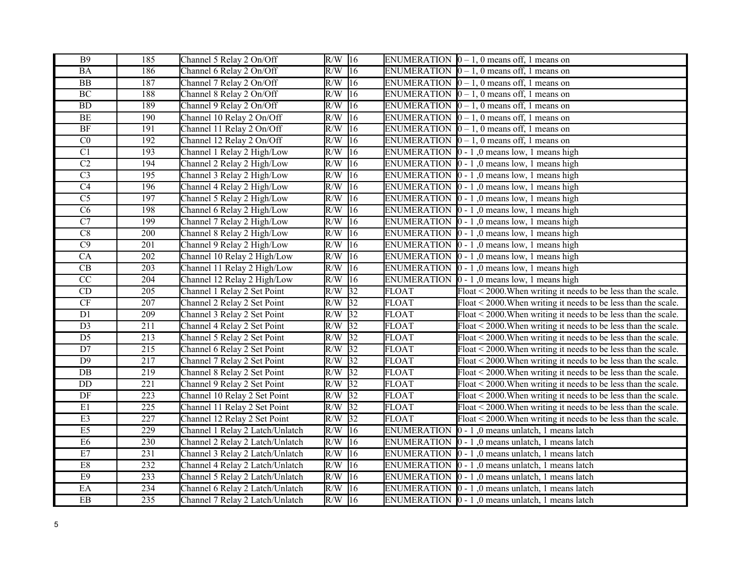| <b>B9</b>              | 185              | Channel 5 Relay 2 On/Off        | $R/W$ 16 |                 |                    | ENUMERATION $[0 - 1, 0$ means off, 1 means on                       |
|------------------------|------------------|---------------------------------|----------|-----------------|--------------------|---------------------------------------------------------------------|
| $\rm BA$               | 186              | Channel 6 Relay 2 On/Off        | $R/W$ 16 |                 |                    | ENUMERATION $[0 - 1, 0$ means off, 1 means on                       |
| $\overline{BB}$        | 187              | Channel 7 Relay 2 On/Off        | $R/W$ 16 |                 |                    | ENUMERATION $\vert 0-1, 0 \vert$ means off, 1 means on              |
| <b>BC</b>              | 188              | Channel 8 Relay 2 On/Off        | $R/W$ 16 |                 |                    | ENUMERATION $\vert 0-1, 0 \vert$ means off, 1 means on              |
| BD                     | 189              | Channel 9 Relay 2 On/Off        | R/W      | $ 16\rangle$    |                    | ENUMERATION $[0 - 1, 0$ means off, 1 means on                       |
| $\rm BE$               | 190              | Channel 10 Relay 2 On/Off       | R/W      | 16              |                    | ENUMERATION $\vert 0-1, 0 \vert$ means off, 1 means on              |
| $\rm{BF}$              | 191              | Channel 11 Relay 2 On/Off       | R/W      | 16              |                    | ENUMERATION $[0 - 1, 0$ means off, 1 means on                       |
| $\overline{C}0$        | 192              | Channel 12 Relay 2 On/Off       | R/W      | 16              |                    | ENUMERATION $[0 - 1, 0$ means off, 1 means on                       |
| $\overline{C}$         | 193              | Channel 1 Relay 2 High/Low      | R/W      | 16              |                    | ENUMERATION $\vert 0 - 1 \vert$ , 0 means low, 1 means high         |
| $\overline{C2}$        | 194              | Channel 2 Relay 2 High/Low      | R/W      | 16              |                    | ENUMERATION $\vert 0 - 1 \vert$ , 0 means low, 1 means high         |
| $\overline{C3}$        | $\overline{195}$ | Channel 3 Relay 2 High/Low      | R/W      | 16              |                    | ENUMERATION $\vert 0 - 1 \vert$ , 0 means low, 1 means high         |
| C <sub>4</sub>         | 196              | Channel 4 Relay 2 High/Low      | R/W      | 16              |                    | ENUMERATION $\vert 0 - 1 \vert$ , 0 means low, 1 means high         |
| $\overline{C5}$        | 197              | Channel 5 Relay 2 High/Low      | R/W      | $\overline{16}$ |                    | ENUMERATION $\vert 0 - 1 \vert$ , 0 means low, 1 means high         |
| $\overline{\text{C6}}$ | 198              | Channel 6 Relay 2 High/Low      | R/W      | $ 16\rangle$    |                    | ENUMERATION $\vert 0 - 1 \vert$ , 0 means low, 1 means high         |
| $\overline{C7}$        | 199              | Channel 7 Relay 2 High/Low      | R/W      | 16              |                    | ENUMERATION $\vert 0 - 1 \vert$ , 0 means low, 1 means high         |
| $\overline{C8}$        | 200              | Channel 8 Relay 2 High/Low      | R/W      | $\overline{16}$ |                    | ENUMERATION $\vert 0 - 1 \vert$ , 0 means low, 1 means high         |
| $\overline{C9}$        | $\overline{201}$ | Channel 9 Relay 2 High/Low      | R/W      | $ 16\rangle$    |                    | ENUMERATION $\vert 0 - 1 \vert$ , 0 means low, 1 means high         |
| $\overline{CA}$        | 202              | Channel 10 Relay 2 High/Low     | R/W      | 16              |                    | ENUMERATION $\vert 0 - 1 \vert$ , 0 means low, 1 means high         |
| $\overline{\text{CB}}$ | 203              | Channel 11 Relay 2 High/Low     | R/W      | 16              |                    | ENUMERATION $\vert 0 - 1 \vert$ , 0 means low, 1 means high         |
| $\overline{CC}$        | $\overline{204}$ | Channel 12 Relay 2 High/Low     | R/W      | 16              | <b>ENUMERATION</b> | $\vert$ 0 - 1,0 means low, 1 means high                             |
| CD                     | 205              | Channel 1 Relay 2 Set Point     | R/W      | 32              | <b>FLOAT</b>       | Float < 2000. When writing it needs to be less than the scale.      |
| CF                     | $\overline{207}$ | Channel 2 Relay 2 Set Point     | $R/W$ 32 |                 | <b>FLOAT</b>       | Float < 2000. When writing it needs to be less than the scale.      |
| $\overline{D1}$        | $\overline{209}$ | Channel 3 Relay 2 Set Point     | $R/W$ 32 |                 | <b>FLOAT</b>       | Float $\leq$ 2000. When writing it needs to be less than the scale. |
| D3                     | 211              | Channel 4 Relay 2 Set Point     | $R/W$ 32 |                 | <b>FLOAT</b>       | Float $\leq$ 2000. When writing it needs to be less than the scale. |
| $\overline{D5}$        | $\overline{213}$ | Channel 5 Relay 2 Set Point     | R/W      | $\overline{32}$ | <b>FLOAT</b>       | Float $\leq$ 2000. When writing it needs to be less than the scale. |
| $\overline{D7}$        | $\overline{215}$ | Channel 6 Relay 2 Set Point     | $R/W$ 32 |                 | <b>FLOAT</b>       | Float < 2000. When writing it needs to be less than the scale.      |
| $\overline{D9}$        | 217              | Channel 7 Relay 2 Set Point     | R/W      | $\overline{32}$ | <b>FLOAT</b>       | Float < 2000. When writing it needs to be less than the scale.      |
| $\overline{DB}$        | $\overline{219}$ | Channel 8 Relay 2 Set Point     | $R/W$ 32 |                 | <b>FLOAT</b>       | Float < 2000. When writing it needs to be less than the scale.      |
| DD                     | $\overline{221}$ | Channel 9 Relay 2 Set Point     | R/W      | $\overline{32}$ | <b>FLOAT</b>       | Float < 2000. When writing it needs to be less than the scale.      |
| DF                     | $\overline{223}$ | Channel 10 Relay 2 Set Point    | R/W      | $\overline{32}$ | <b>FLOAT</b>       | Float < 2000. When writing it needs to be less than the scale.      |
| E1                     | 225              | Channel 11 Relay 2 Set Point    | R/W      | $\overline{32}$ | <b>FLOAT</b>       | Float < 2000. When writing it needs to be less than the scale.      |
| E3                     | 227              | Channel 12 Relay 2 Set Point    | R/W      | 32              | <b>FLOAT</b>       | Float < 2000. When writing it needs to be less than the scale.      |
| E5                     | 229              | Channel 1 Relay 2 Latch/Unlatch | R/W      | $ 16\rangle$    | <b>ENUMERATION</b> | $0 - 1$ , 0 means unlatch, 1 means latch                            |
| E <sub>6</sub>         | 230              | Channel 2 Relay 2 Latch/Unlatch | R/W      | 16              |                    | ENUMERATION $\vert 0 - 1 \vert$ , 0 means unlatch, 1 means latch    |
| E7                     | 231              | Channel 3 Relay 2 Latch/Unlatch | R/W      | 16              |                    | ENUMERATION  0 - 1,0 means unlatch, 1 means latch                   |
| E8                     | 232              | Channel 4 Relay 2 Latch/Unlatch | R/W      | $ 16\rangle$    |                    | ENUMERATION $\vert 0 - 1 \vert$ , 0 means unlatch, 1 means latch    |
| E9                     | 233              | Channel 5 Relay 2 Latch/Unlatch | R/W      | 16              |                    | ENUMERATION $\vert 0 - 1 \vert$ , 0 means unlatch, 1 means latch    |
| $\overline{\text{EA}}$ | 234              | Channel 6 Relay 2 Latch/Unlatch | R/W      | 16              |                    | ENUMERATION 0 - 1,0 means unlatch, 1 means latch                    |
| $\overline{EB}$        | $\overline{235}$ | Channel 7 Relay 2 Latch/Unlatch | $R/W$ 16 |                 |                    | ENUMERATION 0 - 1,0 means unlatch, 1 means latch                    |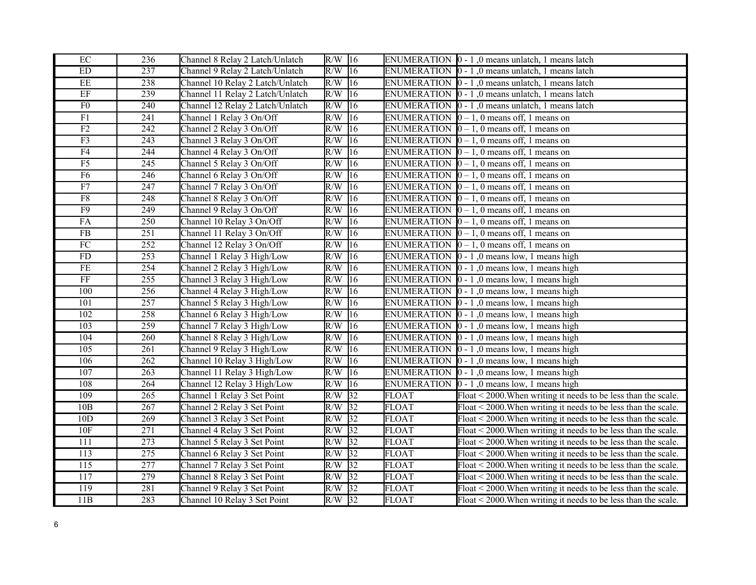| $\rm EC$               | 236              | Channel 8 Relay 2 Latch/Unlatch  | R/W      | 16              |              | ENUMERATION $\vert 0 - 1 \vert$ , 0 means unlatch, 1 means latch                   |
|------------------------|------------------|----------------------------------|----------|-----------------|--------------|------------------------------------------------------------------------------------|
| ${\rm ED}$             | 237              | Channel 9 Relay 2 Latch/Unlatch  | $R/W$ 16 |                 |              | ENUMERATION $\vert 0 - 1 \vert$ , 0 means unlatch, 1 means latch                   |
| $\overline{EE}$        | 238              | Channel 10 Relay 2 Latch/Unlatch | R/W      | 16              |              | ENUMERATION $\vert 0 - 1 \vert$ , 0 means unlatch, 1 means latch                   |
| $\rm EF$               | 239              | Channel 11 Relay 2 Latch/Unlatch | R/W      | 16              |              | ENUMERATION $\vert 0 - 1 \vert$ , 0 means unlatch, 1 means latch                   |
| F <sub>0</sub>         | 240              | Channel 12 Relay 2 Latch/Unlatch | R/W      | 16              |              | ENUMERATION $\vert 0 - 1 \vert$ , 0 means unlatch, 1 means latch                   |
| F1                     | 241              | Channel 1 Relay 3 On/Off         | R/W      | $\overline{16}$ |              | ENUMERATION $\vert 0-1, 0 \vert$ means off, 1 means on                             |
| $\rm F2$               | 242              | Channel 2 Relay 3 On/Off         | R/W      | 16              |              | ENUMERATION $[0 - 1, 0$ means off, 1 means on                                      |
| $\overline{F3}$        | 243              | Channel 3 Relay 3 On/Off         | R/W      | 16              |              | ENUMERATION $[0 - 1, 0$ means off, 1 means on                                      |
| $\overline{F4}$        | 244              | Channel 4 Relay 3 On/Off         | R/W      | 16              |              | ENUMERATION $[0 - 1, 0$ means off, 1 means on                                      |
| F5                     | 245              | Channel 5 Relay 3 On/Off         | R/W      | 16              |              | ENUMERATION $[0 - 1, 0$ means off, 1 means on                                      |
| F6                     | 246              | Channel 6 Relay 3 On/Off         | R/W      | 16              |              | ENUMERATION $[0 - 1, 0$ means off, 1 means on                                      |
| F7                     | 247              | Channel 7 Relay 3 On/Off         | R/W      | 16              |              | ENUMERATION $[0 - 1, 0$ means off, 1 means on                                      |
| $\overline{\rm F8}$    | 248              | Channel 8 Relay 3 On/Off         | R/W      | 16              |              | ENUMERATION $[0 - 1, 0$ means off, 1 means on                                      |
| $\overline{F9}$        | 249              | Channel 9 Relay 3 On/Off         | R/W      | 16              |              | ENUMERATION $[0 - 1, 0$ means off, 1 means on                                      |
| FA                     | 250              | Channel 10 Relay 3 On/Off        | R/W      | 16              |              | ENUMERATION $[0 - 1, 0$ means off, 1 means on                                      |
| FB                     | $\overline{251}$ | Channel 11 Relay 3 On/Off        | R/W      | 16              |              | ENUMERATION $[0 - 1, 0$ means off, 1 means on                                      |
| $\overline{FC}$        | $\overline{252}$ | Channel 12 Relay 3 On/Off        | R/W      | 16              |              | ENUMERATION $\vert 0-1, 0 \vert$ means off, 1 means on                             |
| ${\rm FD}$             | 253              | Channel 1 Relay 3 High/Low       | R/W      | 16              |              | ENUMERATION $\vert 0 - 1 \vert$ , 0 means low, 1 means high                        |
| $\overline{\text{FE}}$ | 254              | Channel 2 Relay 3 High/Low       | R/W      | 16              |              | ENUMERATION $\vert 0 - 1 \vert$ , 0 means low, 1 means high                        |
| $\overline{FF}$        | $\overline{255}$ | Channel 3 Relay 3 High/Low       | R/W      | 16              |              | ENUMERATION $\vert 0 - 1 \vert$ , 0 means low, 1 means high                        |
| 100                    | 256              | Channel 4 Relay 3 High/Low       | R/W      | 16              |              | ENUMERATION $\vert 0 - 1 \vert$ , 0 means low, 1 means high                        |
| 101                    | $\overline{257}$ | Channel 5 Relay 3 High/Low       | R/W      | 16              |              | ENUMERATION $\vert 0 - 1 \vert$ , 0 means low, 1 means high                        |
| 102                    | $\overline{258}$ | Channel 6 Relay 3 High/Low       | R/W      | 16              |              | ENUMERATION $\vert 0 - 1 \vert$ , 0 means low, 1 means high                        |
| 103                    | 259              | Channel 7 Relay 3 High/Low       | R/W      | 16              |              | ENUMERATION $\vert 0 - 1 \vert$ , 0 means low, 1 means high                        |
| 104                    | 260              | Channel 8 Relay 3 High/Low       | R/W      | $ 16\rangle$    |              | ENUMERATION $\vert 0 - 1 \vert$ , 0 means low, 1 means high                        |
| 105                    | $\overline{261}$ | Channel 9 Relay 3 High/Low       | R/W      | 16              |              | ENUMERATION $\vert 0 - 1 \vert$ , 0 means low, 1 means high                        |
| 106                    | 262              | Channel 10 Relay 3 High/Low      | R/W      | 16              |              | ENUMERATION $\vert 0 - 1 \vert$ , 0 means low, 1 means high                        |
| 107                    | $\overline{263}$ | Channel 11 Relay 3 High/Low      | R/W      | $\sqrt{16}$     |              | ENUMERATION $\vert 0 - 1 \vert$ , 0 means low, 1 means high                        |
| 108                    | 264              | Channel 12 Relay 3 High/Low      | R/W      | 16              |              | ENUMERATION $\vert 0 - 1 \vert$ , 0 means low, 1 means high                        |
| 109                    | $\overline{265}$ | Channel 1 Relay 3 Set Point      | R/W      | 32              | <b>FLOAT</b> | Float < 2000. When writing it needs to be less than the scale.                     |
| 10B                    | 267              | Channel 2 Relay 3 Set Point      | R/W      | $\overline{32}$ | <b>FLOAT</b> | Float < 2000. When writing it needs to be less than the scale.                     |
| 10D                    | 269              | Channel 3 Relay 3 Set Point      | R/W      | 32              | <b>FLOAT</b> | Float < 2000. When writing it needs to be less than the scale.                     |
| 10F                    | $\overline{271}$ | Channel 4 Relay 3 Set Point      | R/W      | $\sqrt{32}$     | <b>FLOAT</b> | Float < 2000. When writing it needs to be less than the scale.                     |
| 111                    | 273              | Channel 5 Relay 3 Set Point      | R/W      | $\sqrt{32}$     | <b>FLOAT</b> | Float < 2000. When writing it needs to be less than the scale.                     |
| 113                    | 275              | Channel 6 Relay 3 Set Point      | R/W      | 32              | <b>FLOAT</b> | Float < 2000. When writing it needs to be less than the scale.                     |
| $\overline{115}$       | 277              | Channel 7 Relay 3 Set Point      | R/W      | $\sqrt{32}$     | <b>FLOAT</b> | Float < 2000. When writing it needs to be less than the scale.                     |
| 117                    | 279              | Channel 8 Relay 3 Set Point      | R/W      | $\sqrt{32}$     | <b>FLOAT</b> | $\overline{\text{Float}}$ < 2000. When writing it needs to be less than the scale. |
| 119                    | 281              | Channel 9 Relay 3 Set Point      | R/W      | 32              | <b>FLOAT</b> | Float < 2000. When writing it needs to be less than the scale.                     |
| 11B                    | 283              | Channel 10 Relay 3 Set Point     | $R/W$ 32 |                 | <b>FLOAT</b> | Float $\leq$ 2000. When writing it needs to be less than the scale.                |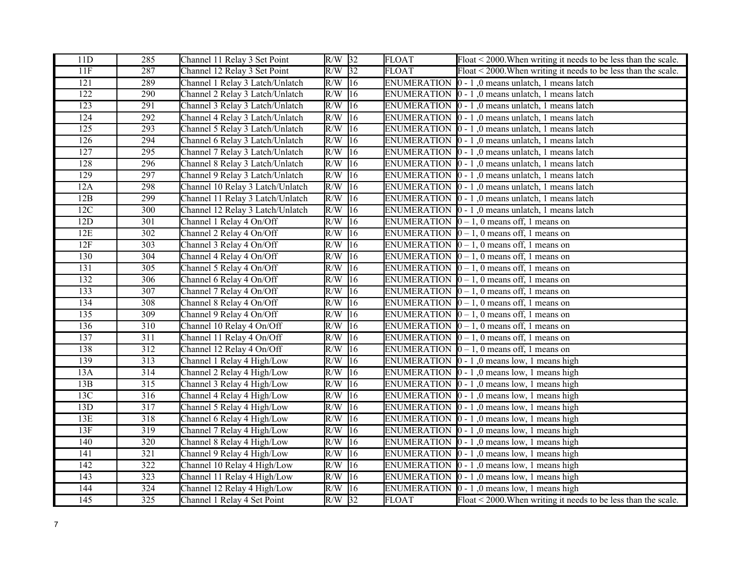| 11D              | 285              | Channel 11 Relay 3 Set Point     | $R/W$ 32 |              | <b>FLOAT</b>       | $\sqrt{\text{float}}$ < 2000. When writing it needs to be less than the scale. |  |
|------------------|------------------|----------------------------------|----------|--------------|--------------------|--------------------------------------------------------------------------------|--|
| 11F              | 287              | Channel 12 Relay 3 Set Point     | $R/W$ 32 |              | <b>FLOAT</b>       | Float < 2000. When writing it needs to be less than the scale.                 |  |
| $\overline{121}$ | 289              | Channel 1 Relay 3 Latch/Unlatch  | $R/W$ 16 |              | <b>ENUMERATION</b> | $\vert$ 0 - 1,0 means unlatch, 1 means latch                                   |  |
| 122              | 290              | Channel 2 Relay 3 Latch/Unlatch  | R/W      | 16           |                    | ENUMERATION $\vert 0 - 1 \vert$ , 0 means unlatch, 1 means latch               |  |
| 123              | 291              | Channel 3 Relay 3 Latch/Unlatch  | R/W      | 16           |                    | ENUMERATION $\vert 0 - 1 \vert$ , 0 means unlatch, 1 means latch               |  |
| 124              | 292              | Channel 4 Relay 3 Latch/Unlatch  | R/W      | 16           |                    | ENUMERATION $\vert 0 - 1 \vert$ , 0 means unlatch, 1 means latch               |  |
| 125              | 293              | Channel 5 Relay 3 Latch/Unlatch  | R/W      | 16           |                    | ENUMERATION $\vert 0 - 1 \vert$ , 0 means unlatch, 1 means latch               |  |
| 126              | 294              | Channel 6 Relay 3 Latch/Unlatch  | R/W      | 16           |                    | ENUMERATION $\vert 0 - 1 \vert$ , 0 means unlatch, 1 means latch               |  |
| 127              | 295              | Channel 7 Relay 3 Latch/Unlatch  | R/W      | 16           |                    | ENUMERATION $\vert 0 - 1 \vert$ , 0 means unlatch, 1 means latch               |  |
| 128              | 296              | Channel 8 Relay 3 Latch/Unlatch  | R/W      | 16           |                    | ENUMERATION $\vert 0 - 1 \vert$ , 0 means unlatch, 1 means latch               |  |
| 129              | 297              | Channel 9 Relay 3 Latch/Unlatch  | R/W      | 16           |                    | ENUMERATION 0 - 1,0 means unlatch, 1 means latch                               |  |
| 12A              | 298              | Channel 10 Relay 3 Latch/Unlatch | R/W      | 16           |                    | ENUMERATION $\vert 0 - 1 \vert$ , 0 means unlatch, 1 means latch               |  |
| 12B              | 299              | Channel 11 Relay 3 Latch/Unlatch | R/W      | 16           |                    | ENUMERATION $\vert 0 - 1 \vert$ , 0 means unlatch, 1 means latch               |  |
| 12C              | 300              | Channel 12 Relay 3 Latch/Unlatch | R/W      | 16           |                    | ENUMERATION $\vert 0 - 1 \vert$ , 0 means unlatch, 1 means latch               |  |
| 12D              | 301              | Channel 1 Relay 4 On/Off         | R/W      | 16           |                    | ENUMERATION $[0 - 1, 0$ means off, 1 means on                                  |  |
| 12E              | 302              | Channel 2 Relay 4 On/Off         | R/W      | 16           |                    | ENUMERATION $[0 - 1, 0$ means off, 1 means on                                  |  |
| 12F              | $\overline{303}$ | Channel 3 Relay 4 On/Off         | R/W      | 16           |                    | ENUMERATION $[0 - 1, 0$ means off, 1 means on                                  |  |
| 130              | 304              | Channel 4 Relay 4 On/Off         | R/W      | 16           |                    | ENUMERATION $[0 - 1, 0$ means off, 1 means on                                  |  |
| 131              | 305              | Channel 5 Relay 4 On/Off         | R/W      | 16           |                    | ENUMERATION $\vert 0-1, 0 \vert$ means off, 1 means on                         |  |
| 132              | 306              | Channel 6 Relay 4 On/Off         | R/W      | 16           |                    | ENUMERATION $[0 - 1, 0$ means off, 1 means on                                  |  |
| 133              | 307              | Channel 7 Relay 4 On/Off         | R/W      | 16           |                    | ENUMERATION $[0 - 1, 0$ means off, 1 means on                                  |  |
| 134              | 308              | Channel 8 Relay 4 On/Off         | R/W      | 16           |                    | ENUMERATION $[0 - 1, 0$ means off, 1 means on                                  |  |
| $\overline{135}$ | 309              | Channel 9 Relay 4 On/Off         | R/W      | 16           |                    | ENUMERATION $[0 - 1, 0$ means off, 1 means on                                  |  |
| 136              | 310              | Channel 10 Relay 4 On/Off        | R/W      | 16           |                    | ENUMERATION $[0 - 1, 0$ means off, 1 means on                                  |  |
| 137              | $\overline{311}$ | Channel 11 Relay 4 On/Off        | R/W      | $ 16\rangle$ |                    | ENUMERATION $\vert 0-1, 0 \vert$ means off, 1 means on                         |  |
| 138              | 312              | Channel 12 Relay 4 On/Off        | R/W      | 16           |                    | ENUMERATION $[0 - 1, 0$ means off, 1 means on                                  |  |
| 139              | 313              | Channel 1 Relay 4 High/Low       | R/W      | 16           |                    | ENUMERATION $\vert 0 - 1 \vert$ , 0 means low, 1 means high                    |  |
| 13A              | $\overline{314}$ | Channel 2 Relay 4 High/Low       | R/W      | $\sqrt{16}$  |                    | ENUMERATION $\vert 0 - 1 \vert$ , 0 means low, 1 means high                    |  |
| 13B              | 315              | Channel 3 Relay 4 High/Low       | R/W      | 16           |                    | ENUMERATION $\vert 0 - 1 \vert$ , 0 means low, 1 means high                    |  |
| 13C              | 316              | Channel 4 Relay 4 High/Low       | R/W      | 16           |                    | ENUMERATION $\vert 0 - 1 \vert$ , 0 means low, 1 means high                    |  |
| 13D              | 317              | Channel 5 Relay 4 High/Low       | R/W      | 16           |                    | ENUMERATION $[0 - 1, 0$ means low, 1 means high                                |  |
| 13E              | 318              | Channel 6 Relay 4 High/Low       | R/W      | 16           |                    | ENUMERATION $\vert 0 - 1 \vert$ , 0 means low, 1 means high                    |  |
| 13F              | 319              | Channel 7 Relay 4 High/Low       | R/W      | 16           |                    | ENUMERATION $\vert 0 - 1 \vert$ , 0 means low, 1 means high                    |  |
| 140              | 320              | Channel 8 Relay 4 High/Low       | R/W      | 16           |                    | ENUMERATION $\vert 0 - 1 \vert$ , 0 means low, 1 means high                    |  |
| 141              | 321              | Channel 9 Relay 4 High/Low       | R/W      | 16           |                    | ENUMERATION $\vert 0 - 1 \vert$ , 0 means low, 1 means high                    |  |
| 142              | $\overline{322}$ | Channel 10 Relay 4 High/Low      | R/W      | $ 16\rangle$ |                    | ENUMERATION $\vert 0 - 1 \vert$ , 0 means low, 1 means high                    |  |
| 143              | 323              | Channel 11 Relay 4 High/Low      | R/W      | 16           |                    | ENUMERATION $\vert 0 - 1 \vert$ , 0 means low, 1 means high                    |  |
| 144              | 324              | Channel 12 Relay 4 High/Low      | R/W      | 16           |                    | ENUMERATION $\vert 0 - 1 \vert$ , 0 means low, 1 means high                    |  |
| $\overline{145}$ | $\overline{325}$ | Channel 1 Relay 4 Set Point      | $R/W$ 32 |              | <b>FLOAT</b>       | Float $\leq$ 2000. When writing it needs to be less than the scale.            |  |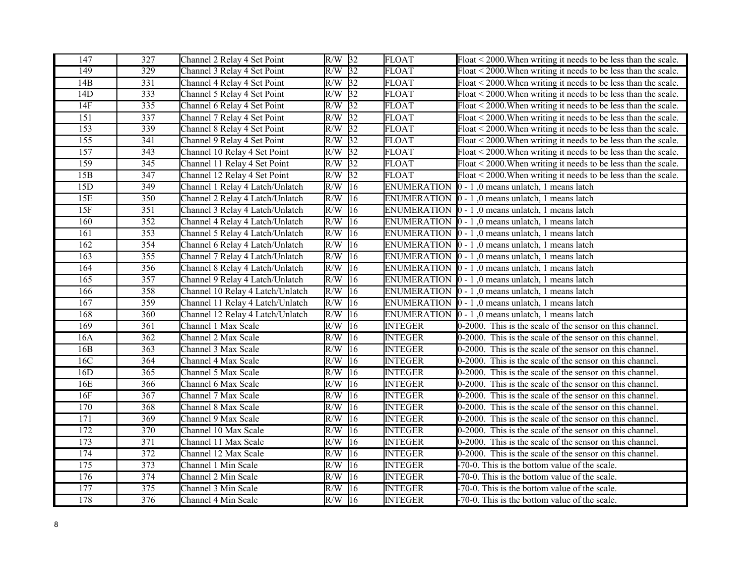| 147              | 327              | Channel 2 Relay 4 Set Point      | $R/W$ 32         |                 | <b>FLOAT</b>       | Float < 2000. When writing it needs to be less than the scale.      |  |
|------------------|------------------|----------------------------------|------------------|-----------------|--------------------|---------------------------------------------------------------------|--|
| 149              | 329              | Channel 3 Relay 4 Set Point      | $R/W$ 32         |                 | <b>FLOAT</b>       | $F$ loat < 2000. When writing it needs to be less than the scale.   |  |
| 14B              | 331              | Channel 4 Relay 4 Set Point      | $R/W$ 32         |                 | <b>FLOAT</b>       | Float < 2000. When writing it needs to be less than the scale.      |  |
| 14D              | 333              | Channel 5 Relay 4 Set Point      | R/W              | $\sqrt{32}$     | <b>FLOAT</b>       | Float < 2000. When writing it needs to be less than the scale.      |  |
| 14F              | 335              | Channel 6 Relay 4 Set Point      | R/W              | $\overline{32}$ | <b>FLOAT</b>       | Float < 2000. When writing it needs to be less than the scale.      |  |
| 151              | 337              | Channel 7 Relay 4 Set Point      | R/W              | 32              | <b>FLOAT</b>       | Float $\leq$ 2000. When writing it needs to be less than the scale. |  |
| 153              | 339              | Channel 8 Relay 4 Set Point      | R/W              | 32              | <b>FLOAT</b>       | Float < 2000. When writing it needs to be less than the scale.      |  |
| $\overline{155}$ | $\overline{341}$ | Channel 9 Relay 4 Set Point      | R/W              | 32              | <b>FLOAT</b>       | Float $\leq$ 2000. When writing it needs to be less than the scale. |  |
| 157              | 343              | Channel 10 Relay 4 Set Point     | R/W              | 32              | <b>FLOAT</b>       | Float < 2000. When writing it needs to be less than the scale.      |  |
| 159              | 345              | Channel 11 Relay 4 Set Point     | R/W              | 32              | <b>FLOAT</b>       | Float < 2000. When writing it needs to be less than the scale.      |  |
| 15B              | 347              | Channel 12 Relay 4 Set Point     | R/W              | 32              | <b>FLOAT</b>       | Float $\leq$ 2000. When writing it needs to be less than the scale. |  |
| 15D              | 349              | Channel 1 Relay 4 Latch/Unlatch  | R/W              | 16              | <b>ENUMERATION</b> | $ 0 - 1 $ , 0 means unlatch, 1 means latch                          |  |
| 15E              | 350              | Channel 2 Relay 4 Latch/Unlatch  | R/W              | $ 16\rangle$    | <b>ENUMERATION</b> | $0 - 1$ , 0 means unlatch, 1 means latch                            |  |
| 15F              | $\overline{351}$ | Channel 3 Relay 4 Latch/Unlatch  | R/W              | $ 16\rangle$    |                    | ENUMERATION $\vert 0 - 1 \vert$ , 0 means unlatch, 1 means latch    |  |
| 160              | 352              | Channel 4 Relay 4 Latch/Unlatch  | R/W              | 16              |                    | ENUMERATION $\vert 0 - 1 \vert$ , 0 means unlatch, 1 means latch    |  |
| 161              | 353              | Channel 5 Relay 4 Latch/Unlatch  | R/W              | $ 16\rangle$    |                    | ENUMERATION $\vert 0 - 1 \vert$ , 0 means unlatch, 1 means latch    |  |
| 162              | 354              | Channel 6 Relay 4 Latch/Unlatch  | R/W              | $ 16\rangle$    |                    | ENUMERATION $\vert 0 - 1 \vert$ , 0 means unlatch, 1 means latch    |  |
| 163              | 355              | Channel 7 Relay 4 Latch/Unlatch  | R/W              | 16              | <b>ENUMERATION</b> | $0 - 1$ , 0 means unlatch, 1 means latch                            |  |
| 164              | 356              | Channel 8 Relay 4 Latch/Unlatch  | R/W              | $ 16\rangle$    | <b>ENUMERATION</b> | 0 - 1,0 means unlatch, 1 means latch                                |  |
| $\overline{165}$ | 357              | Channel 9 Relay 4 Latch/Unlatch  | R/W              | $ 16\rangle$    |                    | ENUMERATION $\vert 0 - 1 \vert$ , 0 means unlatch, 1 means latch    |  |
| 166              | 358              | Channel 10 Relay 4 Latch/Unlatch | R/W              | 16              | <b>ENUMERATION</b> | $\vert$ 0 - 1,0 means unlatch, 1 means latch                        |  |
| 167              | 359              | Channel 11 Relay 4 Latch/Unlatch | R/W              | 16              |                    | ENUMERATION $\vert 0 - 1 \vert$ , 0 means unlatch, 1 means latch    |  |
| 168              | $\overline{360}$ | Channel 12 Relay 4 Latch/Unlatch | R/W              | 16              |                    | ENUMERATION $\vert 0 - 1 \vert$ , 0 means unlatch, 1 means latch    |  |
| 169              | $\overline{361}$ | Channel 1 Max Scale              | R/W              | $ 16\rangle$    | <b>INTEGER</b>     | 0-2000. This is the scale of the sensor on this channel.            |  |
| 16A              | $\overline{362}$ | Channel 2 Max Scale              | R/W              | $ 16\rangle$    | <b>INTEGER</b>     | 0-2000. This is the scale of the sensor on this channel.            |  |
| 16B              | 363              | Channel 3 Max Scale              | R/W              | 16              | <b>INTEGER</b>     | 0-2000. This is the scale of the sensor on this channel.            |  |
| 16C              | 364              | Channel 4 Max Scale              | R/W              | 16              | <b>INTEGER</b>     | 0-2000. This is the scale of the sensor on this channel.            |  |
| 16D              | $\overline{365}$ | Channel 5 Max Scale              | R/W              | 16              | <b>INTEGER</b>     | 0-2000. This is the scale of the sensor on this channel.            |  |
| 16E              | 366              | Channel 6 Max Scale              | R/W              | 16              | <b>INTEGER</b>     | 0-2000. This is the scale of the sensor on this channel.            |  |
| 16F              | 367              | Channel 7 Max Scale              | R/W              | $ 16\rangle$    | <b>INTEGER</b>     | 0-2000. This is the scale of the sensor on this channel.            |  |
| 170              | 368              | Channel 8 Max Scale              | R/W              | 16              | <b>INTEGER</b>     | 0-2000. This is the scale of the sensor on this channel.            |  |
| 171              | 369              | Channel 9 Max Scale              | R/W              | 16              | <b>INTEGER</b>     | 0-2000. This is the scale of the sensor on this channel.            |  |
| 172              | 370              | Channel 10 Max Scale             | $\overline{R/W}$ | $ 16\rangle$    | <b>INTEGER</b>     | 0-2000. This is the scale of the sensor on this channel.            |  |
| 173              | 371              | Channel 11 Max Scale             | R/W              | 16              | <b>INTEGER</b>     | 0-2000. This is the scale of the sensor on this channel.            |  |
| 174              | 372              | Channel 12 Max Scale             | R/W              | 16              | <b>INTEGER</b>     | 0-2000. This is the scale of the sensor on this channel.            |  |
| 175              | 373              | Channel 1 Min Scale              | R/W              | $ 16\rangle$    | <b>INTEGER</b>     | -70-0. This is the bottom value of the scale.                       |  |
| 176              | $\overline{374}$ | Channel 2 Min Scale              | R/W              | 16              | <b>INTEGER</b>     | -70-0. This is the bottom value of the scale.                       |  |
| 177              | 375              | Channel 3 Min Scale              | R/W              | 16              | <b>INTEGER</b>     | -70-0. This is the bottom value of the scale.                       |  |
| 178              | 376              | Channel 4 Min Scale              | $R/W$ 16         |                 | <b>INTEGER</b>     | -70-0. This is the bottom value of the scale.                       |  |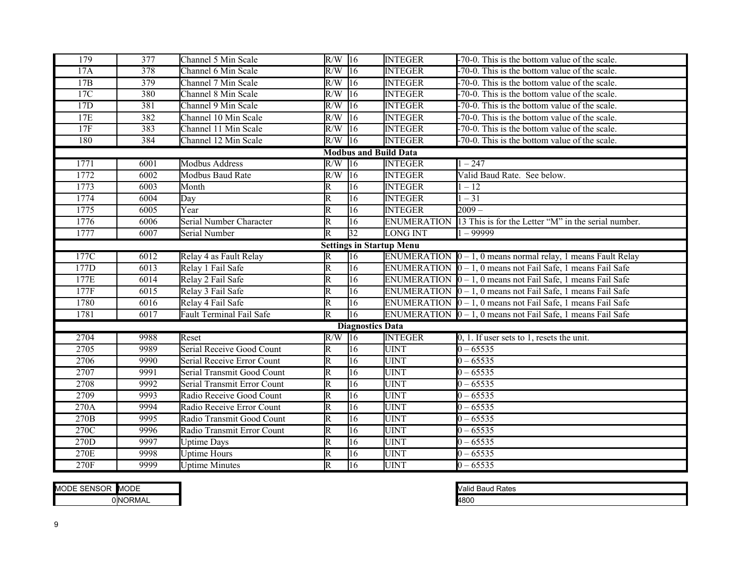| 179  | 377                             | Channel 5 Min Scale             | $R/W$ 16                |                         | <b>INTEGER</b>               | -70-0. This is the bottom value of the scale.                        |  |  |  |  |
|------|---------------------------------|---------------------------------|-------------------------|-------------------------|------------------------------|----------------------------------------------------------------------|--|--|--|--|
| 17A  | 378                             | Channel 6 Min Scale             | $R/W$ 16                |                         | <b>INTEGER</b>               | $-70-0$ . This is the bottom value of the scale.                     |  |  |  |  |
| 17B  | 379                             | Channel 7 Min Scale             | R/W                     | 16                      | <b>INTEGER</b>               | $-70-0$ . This is the bottom value of the scale.                     |  |  |  |  |
| 17C  | 380                             | Channel 8 Min Scale             | R/W                     | 16                      | <b>INTEGER</b>               | -70-0. This is the bottom value of the scale.                        |  |  |  |  |
| 17D  | 381                             | Channel 9 Min Scale             | R/W                     | 16                      | <b>INTEGER</b>               | -70-0. This is the bottom value of the scale.                        |  |  |  |  |
| 17E  | 382                             | Channel 10 Min Scale            | R/W                     | 16                      | <b>INTEGER</b>               | -70-0. This is the bottom value of the scale.                        |  |  |  |  |
| 17F  | 383                             | Channel 11 Min Scale            | R/W                     | 16                      | <b>INTEGER</b>               | -70-0. This is the bottom value of the scale.                        |  |  |  |  |
| 180  | 384                             | Channel 12 Min Scale            | $R/W$ 16                |                         | <b>INTEGER</b>               | -70-0. This is the bottom value of the scale.                        |  |  |  |  |
|      |                                 |                                 |                         |                         | <b>Modbus and Build Data</b> |                                                                      |  |  |  |  |
| 1771 | 6001                            | <b>Modbus Address</b>           | $R/W$ 16                |                         | <b>INTEGER</b>               | $1 - 247$                                                            |  |  |  |  |
| 1772 | 6002                            | <b>Modbus Baud Rate</b>         | R/W                     | $\overline{16}$         | <b>INTEGER</b>               | Valid Baud Rate. See below.                                          |  |  |  |  |
| 1773 | 6003                            | Month                           | $\overline{\mathsf{R}}$ | 16                      | <b>INTEGER</b>               | $1 - 12$                                                             |  |  |  |  |
| 1774 | 6004                            | Day                             | $\overline{\mathbb{R}}$ | 16                      | <b>INTEGER</b>               | $1 - 31$                                                             |  |  |  |  |
| 1775 | 6005                            | Year                            | $\overline{\mathbb{R}}$ | 16                      | <b>INTEGER</b>               | $\frac{2009}{ }$                                                     |  |  |  |  |
| 1776 | 6006                            | Serial Number Character         | $\overline{\mathsf{R}}$ | 16                      | <b>ENUMERATION</b>           | 13 This is for the Letter "M" in the serial number.                  |  |  |  |  |
| 1777 | 6007                            | Serial Number                   | $\overline{\mathbb{R}}$ | $\overline{32}$         | <b>LONG INT</b>              | 1 – 99999                                                            |  |  |  |  |
|      | <b>Settings in Startup Menu</b> |                                 |                         |                         |                              |                                                                      |  |  |  |  |
| 177C | 6012                            | Relay 4 as Fault Relay          | $\overline{\mathbb{R}}$ | $\overline{16}$         |                              | ENUMERATION $\vert 0-1$ , 0 means normal relay, 1 means Fault Relay  |  |  |  |  |
| 177D | 6013                            | Relay 1 Fail Safe               | $\overline{\mathsf{R}}$ | $\overline{16}$         |                              | ENUMERATION $\vert 0 - 1$ , 0 means not Fail Safe, 1 means Fail Safe |  |  |  |  |
| 177E | 6014                            | Relay 2 Fail Safe               | $\overline{\mathsf{R}}$ | $\overline{16}$         |                              | ENUMERATION $\vert 0 - 1$ , 0 means not Fail Safe, 1 means Fail Safe |  |  |  |  |
| 177F | 6015                            | Relay 3 Fail Safe               | $\overline{\mathrm{R}}$ | $\overline{16}$         |                              | ENUMERATION $\vert 0-1$ , 0 means not Fail Safe, 1 means Fail Safe   |  |  |  |  |
| 1780 | 6016                            | Relay 4 Fail Safe               | $\overline{\mathbb{R}}$ | 16                      |                              | ENUMERATION $\vert 0 - 1$ , 0 means not Fail Safe, 1 means Fail Safe |  |  |  |  |
| 1781 | 6017                            | <b>Fault Terminal Fail Safe</b> | $\overline{\mathsf{R}}$ | $\overline{16}$         |                              | ENUMERATION $\vert 0 - 1$ , 0 means not Fail Safe, 1 means Fail Safe |  |  |  |  |
|      |                                 |                                 |                         | <b>Diagnostics Data</b> |                              |                                                                      |  |  |  |  |
| 2704 | 9988                            | Reset                           | $R/W$ 16                |                         | <b>INTEGER</b>               | $0, 1$ . If user sets to 1, resets the unit.                         |  |  |  |  |
| 2705 | 9989                            | Serial Receive Good Count       | $\overline{\mathbb{R}}$ | $\overline{16}$         | <b>UINT</b>                  | $0 - 65535$                                                          |  |  |  |  |
| 2706 | 9990                            | Serial Receive Error Count      | R                       | 16                      | <b>UINT</b>                  | $0 - 65535$                                                          |  |  |  |  |
| 2707 | 9991                            | Serial Transmit Good Count      | $\overline{\mathbb{R}}$ | $\overline{16}$         | <b>UINT</b>                  | $0 - 65535$                                                          |  |  |  |  |
| 2708 | 9992                            | Serial Transmit Error Count     | $\overline{\mathsf{R}}$ | 16                      | <b>UINT</b>                  | $0 - 65535$                                                          |  |  |  |  |
| 2709 | 9993                            | Radio Receive Good Count        | $\overline{\mathbb{R}}$ | 16                      | <b>UINT</b>                  | $0 - 65535$                                                          |  |  |  |  |
| 270A | 9994                            | Radio Receive Error Count       | $\overline{\mathbb{R}}$ | 16                      | <b>UINT</b>                  | $0 - 65535$                                                          |  |  |  |  |
| 270B | 9995                            | Radio Transmit Good Count       | $\overline{\mathsf{R}}$ | 16                      | <b>UINT</b>                  | $0 - 65535$                                                          |  |  |  |  |
| 270C | 9996                            | Radio Transmit Error Count      | $\overline{\mathbb{R}}$ | $\overline{16}$         | <b>UINT</b>                  | $0 - 65535$                                                          |  |  |  |  |
| 270D | 9997                            | <b>Uptime Days</b>              | $\overline{\mathsf{R}}$ | 16                      | <b>UINT</b>                  | $0 - 65535$                                                          |  |  |  |  |
| 270E | 9998                            | Uptime Hours                    | $\overline{\mathsf{R}}$ | 16                      | <b>UINT</b>                  | $0 - 65535$                                                          |  |  |  |  |
| 270F | 9999                            | <b>Uptime Minutes</b>           | $\overline{\mathsf{R}}$ | $\overline{16}$         | <b>UINT</b>                  | $0 - 65535$                                                          |  |  |  |  |

| <b>SENSOP</b><br>MODE | MODE           |
|-----------------------|----------------|
|                       | <b>ONORMAL</b> |

| <b>Valid Baud Rates</b> |  |
|-------------------------|--|
| 4800                    |  |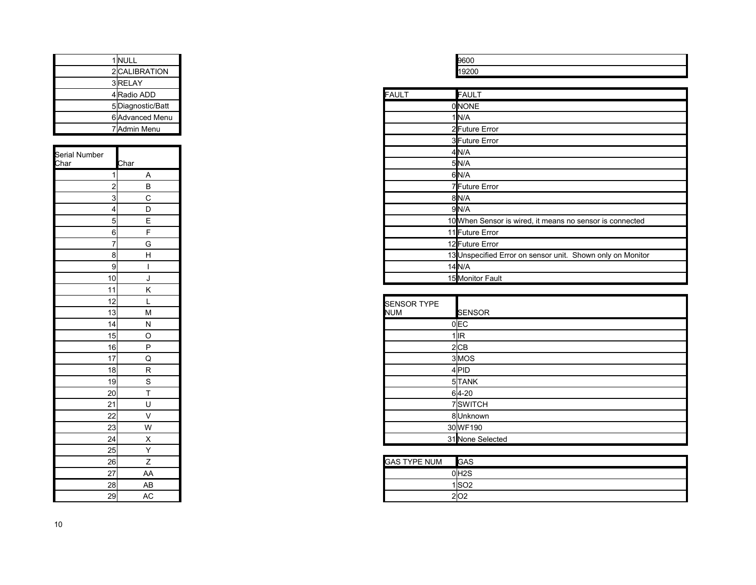|  | 1 NULL           |  |              | 9600              |
|--|------------------|--|--------------|-------------------|
|  | 2 CALIBRATION    |  |              | 19200             |
|  | 3RELAY           |  |              |                   |
|  | 4 Radio ADD      |  | <b>FAULT</b> | FAUL <sup>-</sup> |
|  | 5Diagnostic/Batt |  |              | <b>ONONE</b>      |
|  | 6 Advanced Menu  |  |              | 1 <b>I</b> N/A    |
|  | 7 Admin Menu     |  |              | 2Future           |
|  |                  |  |              | 3Future           |
|  |                  |  |              | 4 N 17 A          |

| Serial Number   |                         |
|-----------------|-------------------------|
| Char            | <u>Char</u>             |
| 1               | $\overline{A}$          |
|                 |                         |
| $\frac{2}{3}$   | $rac{B}{C}$             |
|                 | $\overline{D}$          |
| 5               | E                       |
| 6               | F                       |
| 7               | G                       |
| 8               | H                       |
| 9               | $\overline{1}$          |
| 10              | J                       |
| 11              | K                       |
| 12              | L                       |
| 13              | M                       |
| 14              | N                       |
| 15              | O                       |
| 16              | $\overline{P}$          |
| 17              | Q                       |
| 18              | R                       |
| 19              | $\overline{s}$          |
| 20              | $\overline{\mathsf{T}}$ |
| 21              | U                       |
| 22              | V                       |
| $\overline{23}$ |                         |
| 24              | $\frac{W}{X}$           |
| 25              |                         |
| 26              | Z                       |
| 27              | AA                      |
| 28              | AB                      |
| 29              | AC                      |

| 96  |  |
|-----|--|
| ັ∠∪ |  |

| 4Radio ADD          | <b>FAULT</b> | <b>FAULT</b>                                               |
|---------------------|--------------|------------------------------------------------------------|
| 5Diagnostic/Batt    |              | 0NONE                                                      |
| 6 Advanced Menu     |              | $1$ $N/A$                                                  |
| 7 Admin Menu        |              | 2Future Error                                              |
|                     |              | 3Future Error                                              |
|                     |              | 4N/A                                                       |
| Char                |              | 5N/A                                                       |
| $\overline{A}$      |              | 6N/A                                                       |
| B                   |              | 7Future Error                                              |
| 3<br>С              |              | 8N/A                                                       |
| D<br>4              |              | 9N/A                                                       |
| E<br>$5 \mid$       |              | 10 When Sensor is wired, it means no sensor is connected   |
| 6                   |              | 11 Future Error                                            |
| G                   |              | 12 Future Error                                            |
| 8 <sup>0</sup><br>H |              | 13 Unspecified Error on sensor unit. Shown only on Monitor |
| 9                   |              | $14$ <sub>N/A</sub>                                        |
| 10<br>J             |              | 15 Monitor Fault                                           |

| . .             | . . |                    |                   |
|-----------------|-----|--------------------|-------------------|
| 12              |     | <b>SENSOR TYPE</b> |                   |
| 13              | M   | <b>NUM</b>         | <b>SENSOR</b>     |
| 14              | N   |                    | $0$ <sub>EC</sub> |
| 15              | O   |                    | $1$ IR            |
| 16              | P   |                    | $2$ CB            |
| 17              | Q   |                    | 3MOS              |
| 18              | R.  |                    | 4PID              |
| 19              | S   |                    | 5TANK             |
| 20              |     |                    | $6 4-20$          |
| 21              | U   |                    | 7SWITCH           |
| $\overline{22}$ | V   |                    | 8Unknown          |
| 23              | W   |                    | 30 WF190          |
| $\sqrt{24}$     | X   |                    | 31 None Selected  |
|                 |     |                    |                   |

| 26l |    | <b>GAS TYPE NUM</b> | <b>GAS</b> |
|-----|----|---------------------|------------|
| 27  | AA |                     | 0H2S       |
| 28  | AB |                     | 1 SO2      |
| 29  | AU |                     |            |